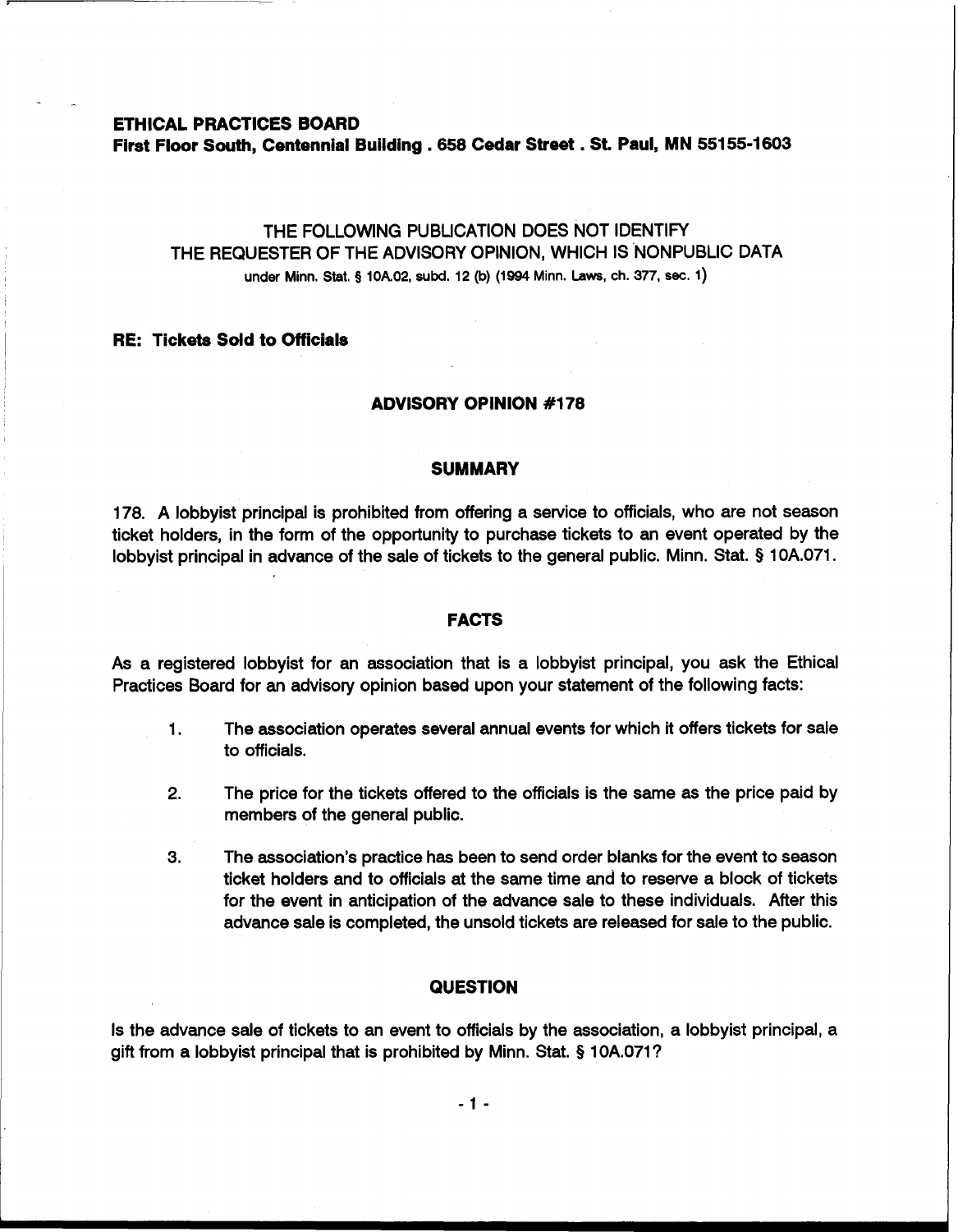**ETHICAL PRACTICES BOARD** 

-

**First Floor South, Centennial Building** . **658 Cedar Street** . **St. Paul, MN 55155-1603** 

# THE FOLLOWING PUBLICATION DOES NOT IDENTIFY THE REQUESTER OF THE ADVISORY OPINION, WHICH IS NONPUBLIC DATA under Minn. Stat. **5 10A02, subd. 12 (b) (1994 Minn. Laws, ch. 377, sec. 1)**

#### **RE: Tickets Sdd to Officials**

#### **ADVISORY OPINION #I 78**

## **SUMMARY**

178. A lobbyist principal is prohibited from offering a service to officials, who are not season ticket holders, in the form of the opportunity to purchase tickets to an event operated by the lobbyist principal in advance of the sale of tickets to the general public. Minn. Stat. § 1 OA.071.

#### **FACTS**

As a registered lobbyist for an association that is a lobbyist principal, you ask the Ethical Practices Board for **an** advisory opinion based upon your statement of the following facts:

- 1. The association operates several annual events for which it offers tickets for sale to officials.
- **2.** The price for the tickets offered to the officials is the same as the price paid by members of the general public.
- **3.** The association's practice has been to send order blanks for the event to season ticket holders and to officials at the same time and to reserve a block of tickets for the event in anticipation of the advance sale to these individuals. After this advance sale is completed, the unsold tickets are released for sale to the public.

## **QUESTION**

Is the advance sale of tickets to an event to officials by the association, a lobbyist principal, a gift from a lobbyist principal that is prohibited by Minn. Stat. § 10A.071?

 $-1 -$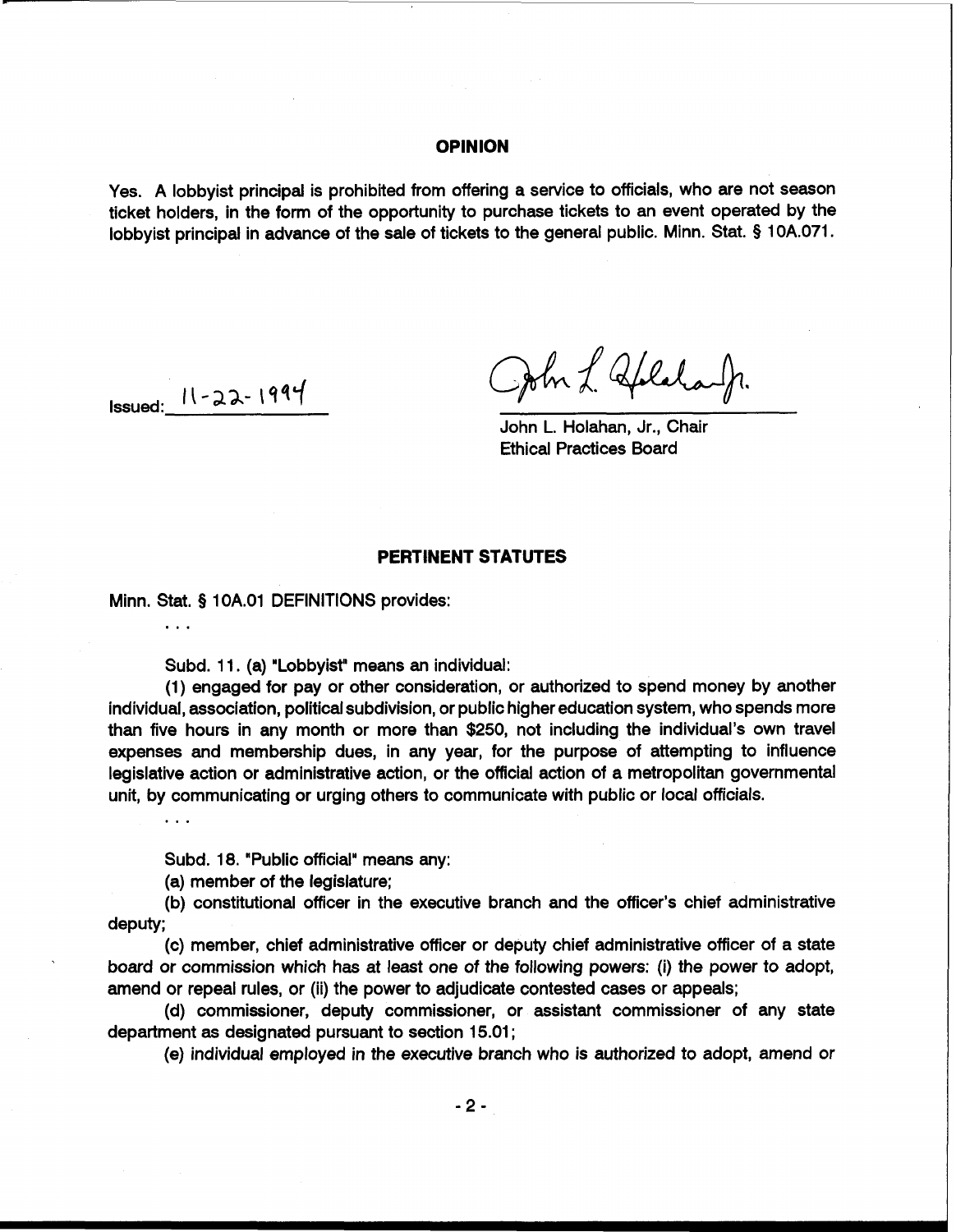## **OPINION**

Yes. A lobbyist principal is prohibited from offering a service to officials, who are not season ticket holders, in the form of the opportunity to purchase tickets to an event operated by the lobbyist principal in advance of the sale of tickets to the general public. Minn. Stat. **9** 10A.071.

**Issued:**  $11 - 22 - 1994$ 

 $\sim$   $\sim$   $\sim$ 

 $\mathbf{1}$ 

John L. Aplalaufr.

John L. Holahan, Jr., Chair Ethical Practices Board

# **PERTINENT STATUTES**

Minn. Stat. **5** 1 OA.O1 DEFINITIONS provides:

Subd. 11. (a) "Lobbyist" means an individual:

(1) engaged for pay or other consideration, or authorized to spend money by another individual, association, political subdivision, or public higher education system, who spends more than five hours in any month or more than \$250, not including the individual's own travel expenses and membership dues, in any year, for the purpose of attempting to influence legislative action or administrative action, or the official action of a metropolitan governmental unit, by communicating or urging others to communicate with public or local officials.

Subd. 18. "Public official" means any:

(a) member of the legislature;

(b) constitutional officer in the executive branch and the officer's chief administrative deputy;

(c) member, chief administrative officer or deputy chief administrative officer of a state board or commission which has at least one of the following powers: (i) the power to adopt, amend or repeal rules, or (ii) the power to adjudicate contested cases or appeals;

(d) commissioner, deputy commissioner, or assistant commissioner of any state department as designated pursuant to section 15.01 ;

(e) individual employed in the executive branch who is authorized to adopt, amend or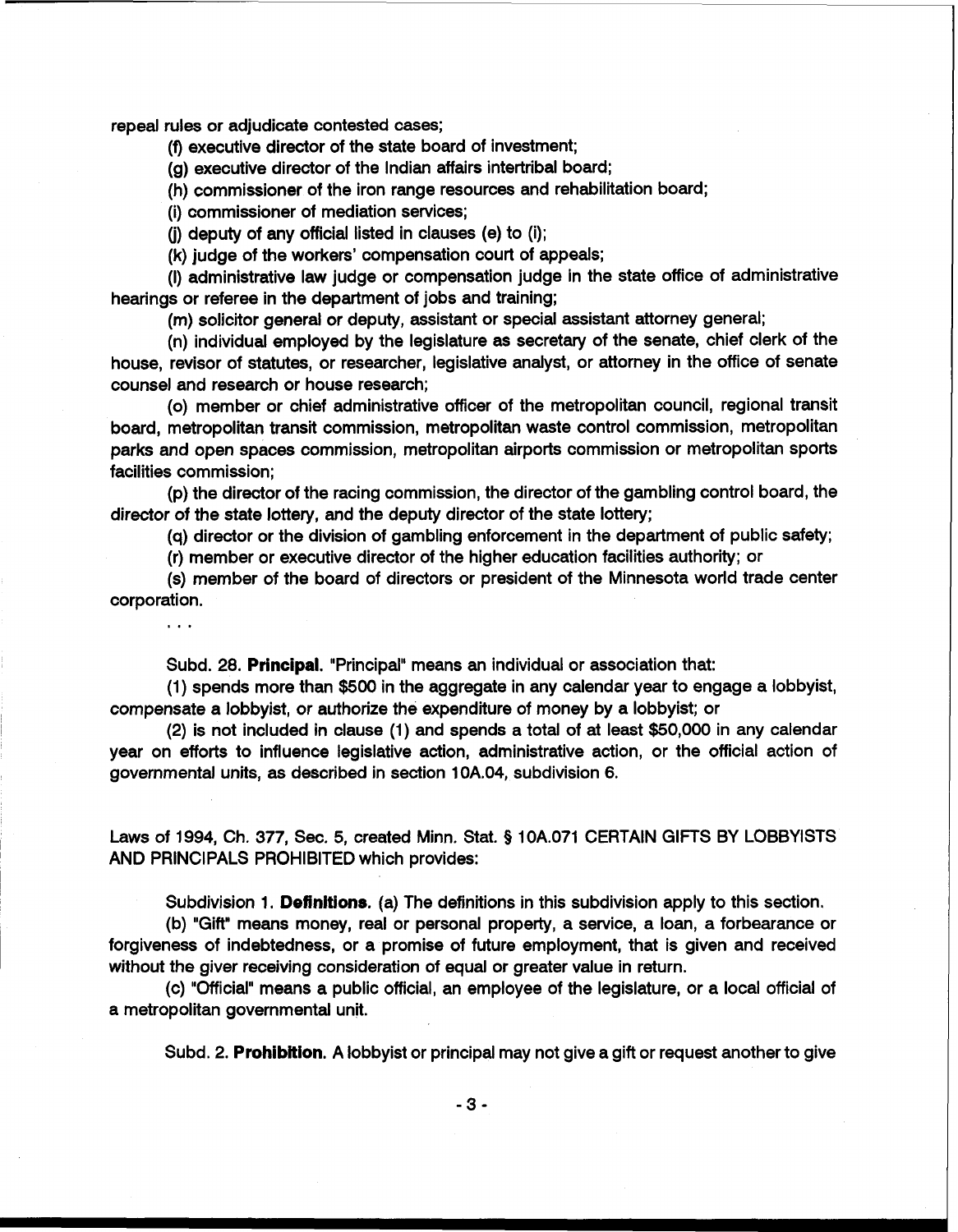repeal rules or adjudicate contested cases;

 $\cdots$ 

(f) executive director of the state board of investment;

(g) executive director of the Indian affairs intertribal board;

(h) commissioner of the iron range resources and rehabilitation board;

(i) commissioner of mediation services;

(i) deputy of any official listed in clauses (e) to (i);

**(k)** judge of the workers' compensation court of appeals;

(I) administrative law judge or compensation judge in the state office of administrative hearings or referee in the department of jobs and training;

(m) solicitor general or deputy, assistant or special assistant attorney general;

(n) individual employed by the legislature as secretary of the senate, chief clerk of the house, revisor of statutes, or researcher, legislative analyst, or attorney in the office of senate counsel and research or house research;

(0) member or chief administrative officer of the metropolitan council, regional transit board, metropolitan transit commission, metropolitan waste control commission, metropolitan parks and open spaces commission, metropolitan airports commission or metropolitan sports facilities commission;

(p) the director of the racing commission, the director of the gambling control board, the director of the state lottery, and the deputy director of the state lottery;

(q) director or the division of gambling enforcement in the department of public safety;

(r) member or executive director of the higher education facilities authority; or

(s) member of the board of directors or president of the Minnesota world trade center corporation.

Subd. 28. **Ptincipal.** "Principal" means an individual or association that:

(1) spends more than \$500 in the aggregate in any calendar year to engage a lobbyist, compensate a lobbyist, or authorize the expenditure of money by a lobbyist; or

(2) is not included in clause (1) and spends a total of at least \$50,000 in any calendar year on efforts to influence legislative action, administrative action, or the official action of governmental units, as described in section 10A.04, subdivision 6.

Laws of 1994, Ch. 377, Sec, 5, created Minn. Stat. § 10A.071 CERTAIN GIFTS BY LOBBYISTS AND PRINCIPALS PROHIBITED which provides:

Subdivision 1. Definitions. (a) The definitions in this subdivision apply to this section.

(b) "Gift" means money, real or personal property, a service, a loan, a forbearance or forgiveness of indebtedness, or a promise of future employment, that is given and received without the giver receiving consideration of equal or greater value in return.

(c) "Official" means a public official, an employee of the legislature, or a local official of a metropolitan governmental unit.

Subd. 2. **Prohibition**. A lobbyist or principal may not give a gift or request another to give